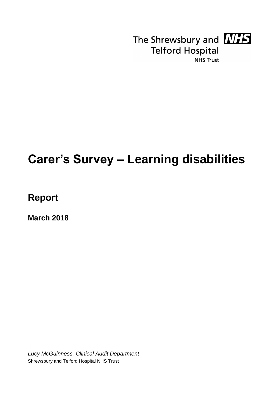

The Shrewsbury and **NHS Telford Hospital NHS Trust** 

## **Carer's Survey – Learning disabilities**

**Report**

**March 2018**

*Lucy McGuinness, Clinical Audit Department* Shrewsbury and Telford Hospital NHS Trust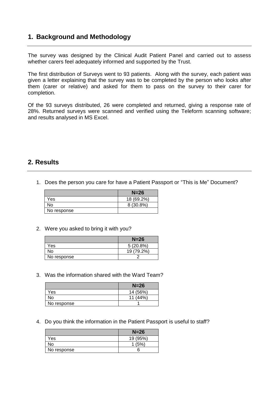## **1. Background and Methodology**

The survey was designed by the Clinical Audit Patient Panel and carried out to assess whether carers feel adequately informed and supported by the Trust.

The first distribution of Surveys went to 93 patients. Along with the survey, each patient was given a letter explaining that the survey was to be completed by the person who looks after them (carer or relative) and asked for them to pass on the survey to their carer for completion.

Of the 93 surveys distributed, 26 were completed and returned, giving a response rate of 28%. Returned surveys were scanned and verified using the Teleform scanning software; and results analysed in MS Excel.

## **2. Results**

1. Does the person you care for have a Patient Passport or "This is Me" Document?

|             | $N=26$      |
|-------------|-------------|
| Yes         | 18 (69.2%)  |
| No          | $8(30.8\%)$ |
| No response |             |

2. Were you asked to bring it with you?

|             | $N=26$     |
|-------------|------------|
| Yes         | 5(20.8%)   |
| No          | 19 (79.2%) |
| No response |            |

3. Was the information shared with the Ward Team?

|             | $N=26$     |
|-------------|------------|
| Yes         | 14 (56%)   |
| N٥          | $11(44\%)$ |
| No response |            |

4. Do you think the information in the Patient Passport is useful to staff?

|             | $N=26$   |
|-------------|----------|
| Yes         | 19 (95%) |
| No          | 1(5%     |
| No response |          |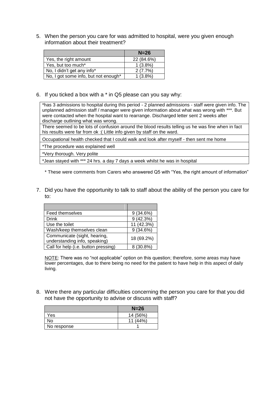5. When the person you care for was admitted to hospital, were you given enough information about their treatment?

|                                      | $N=26$     |
|--------------------------------------|------------|
| Yes, the right amount                | 22 (84.6%) |
| Yes, but too much*                   | $1(3.8\%)$ |
| No, I didn't get any info*           | 2(7.7%)    |
| No, I got some info, but not enough* | $1(3.8\%)$ |

6. If you ticked a box with a \* in Q5 please can you say why:

\*has 3 admissions to hospital during this period - 2 planned admissions - staff were given info. The unplanned admission staff / manager were given information about what was wrong with \*\*\*. But were contacted when the hospital want to rearrange. Discharged letter sent 2 weeks after discharge outlining what was wrong.

There seemed to be lots of confusion around the blood results telling us he was fine when in fact his results were far from ok :( Little info given by staff on the ward.

Occupational health checked that I could walk and look after myself - then sent me home

\*The procedure was explained well

\*Very thorough. Very polite

\*Jean stayed with \*\*\* 24 hrs. a day 7 days a week whilst he was in hospital

\* These were comments from Carers who answered Q5 with "Yes, the right amount of information"

7. Did you have the opportunity to talk to staff about the ability of the person you care for to:

| Feed themselves                                               | 9(34.6%)   |
|---------------------------------------------------------------|------------|
| Drink                                                         | 9(42.3%)   |
| Use the toilet                                                | 11 (42.3%) |
| Wash/keep themselves clean                                    | 9(34.6%)   |
| Communicate (sight, hearing,<br>understanding info, speaking) | 18 (69.2%) |
| Call for help (i.e. button pressing)                          | 8 (30.8%)  |

NOTE: There was no "not applicable" option on this question; therefore, some areas may have lower percentages, due to there being no need for the patient to have help in this aspect of daily living.

8. Were there any particular difficulties concerning the person you care for that you did not have the opportunity to advise or discuss with staff?

|             | $N=26$     |
|-------------|------------|
| Yes         | 14 (56%)   |
| No          | $11(44\%)$ |
| No response |            |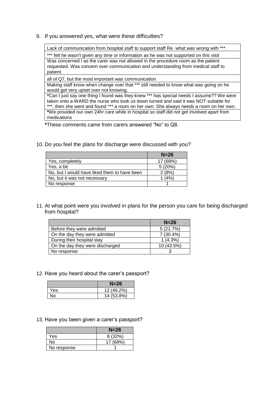9. If you answered yes, what were these difficulties?

Lack of communication from hospital staff to support staff Re. what was wrong with \*\*\*.

\*\*\* felt he wasn't given any time or information as he was not supported on this visit

Was concerned I as the carer was not allowed in the procedure room as the patient requested. Was concern over communication and understanding from medical staff to patient.

all of Q7, but the most important was communication

Making staff know when change over that \*\*\* still needed to know what was going on he would get very upset over not knowing.

**\***Can I just say one thing I found was they knew \*\*\* has special needs I assume?? We were taken onto a WARD the nurse who took us down turned and said it was NOT suitable for \*\*\*, then she went and found \*\*\* a room on her own. She always needs a room on her own. **\***We provided our own 24hr care while in hospital so staff did not get involved apart from medications

**\***These comments came from carers answered "No" to Q8.

10. Do you feel the plans for discharge were discussed with you?

|                                              | $N=26$   |
|----------------------------------------------|----------|
| Yes, completely                              | 17 (68%) |
| Yes, a bit                                   | 5(20%)   |
| No, but I would have liked them to have been | 2(8%)    |
| No, but it was not necessary                 | $(4\%)$  |
| No response                                  |          |

11. At what point were you involved in plans for the person you care for being discharged from hospital?

|                                 | $N=26$      |
|---------------------------------|-------------|
| Before they were admitted       | 5(21.7%)    |
| On the day they were admitted   | $7(30.4\%)$ |
| During their hospital stay      | 1(4.3%)     |
| On the day they were discharged | 10 (43.5%)  |
| No response                     |             |

12. Have you heard about the carer"s passport?

|     | $N=26$     |
|-----|------------|
| Yes | 12 (46.2%) |
| No  | 14 (53.8%) |

13. Have you been given a carer's passport?

|             | $N=26$   |
|-------------|----------|
| <b>Yes</b>  | 8 (32%)  |
| N٥          | 17 (68%) |
| No response |          |